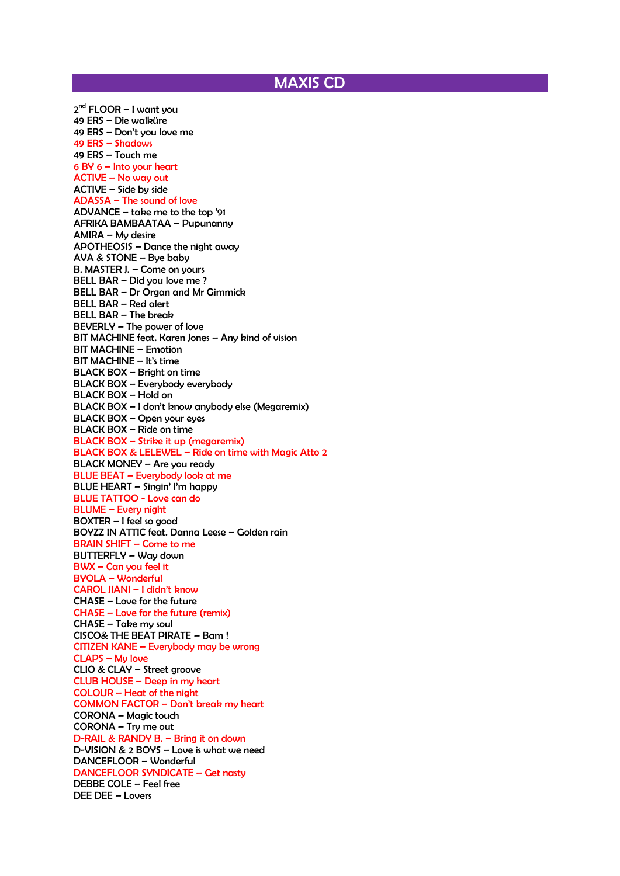## MAXIS CD

2<sup>nd</sup> FLOOR – I want you 49 ERS – Die walküre 49 ERS – Don't you love me 49 ERS – Shadows 49 ERS – Touch me 6 BY 6 – Into your heart ACTIVE – No way out ACTIVE – Side by side ADASSA – The sound of love ADVANCE – take me to the top '91 AFRIKA BAMBAATAA – Pupunanny AMIRA – My desire APOTHEOSIS – Dance the night away AVA & STONE – Bye baby B. MASTER J. – Come on yours BELL BAR – Did you love me ? BELL BAR – Dr Organ and Mr Gimmick BELL BAR – Red alert BELL BAR – The break BEVERLY – The power of love BIT MACHINE feat. Karen Jones – Any kind of vision BIT MACHINE – Emotion BIT MACHINE – It's time BLACK BOX – Bright on time BLACK BOX – Everybody everybody BLACK BOX – Hold on BLACK BOX – I don't know anybody else (Megaremix) BLACK BOX – Open your eyes BLACK BOX – Ride on time BLACK BOX – Strike it up (megaremix) BLACK BOX & LELEWEL – Ride on time with Magic Atto 2 BLACK MONEY – Are you ready BLUE BEAT – Everybody look at me BLUE HEART – Singin' I'm happy BLUE TATTOO - Love can do BLUME – Every night BOXTER – I feel so good BOYZZ IN ATTIC feat. Danna Leese – Golden rain BRAIN SHIFT – Come to me BUTTERFLY – Way down BWX – Can you feel it BYOLA – Wonderful CAROL JIANI – I didn't know CHASE – Love for the future CHASE – Love for the future (remix) CHASE – Take my soul CISCO& THE BEAT PIRATE – Bam ! CITIZEN KANE – Everybody may be wrong CLAPS – My love CLIO & CLAY – Street groove CLUB HOUSE – Deep in my heart COLOUR – Heat of the night COMMON FACTOR – Don't break my heart CORONA – Magic touch CORONA – Try me out D-RAIL & RANDY B. – Bring it on down D-VISION & 2 BOYS – Love is what we need DANCEFLOOR – Wonderful DANCEFLOOR SYNDICATE – Get nasty DEBBE COLE – Feel free DEE DEE – Lovers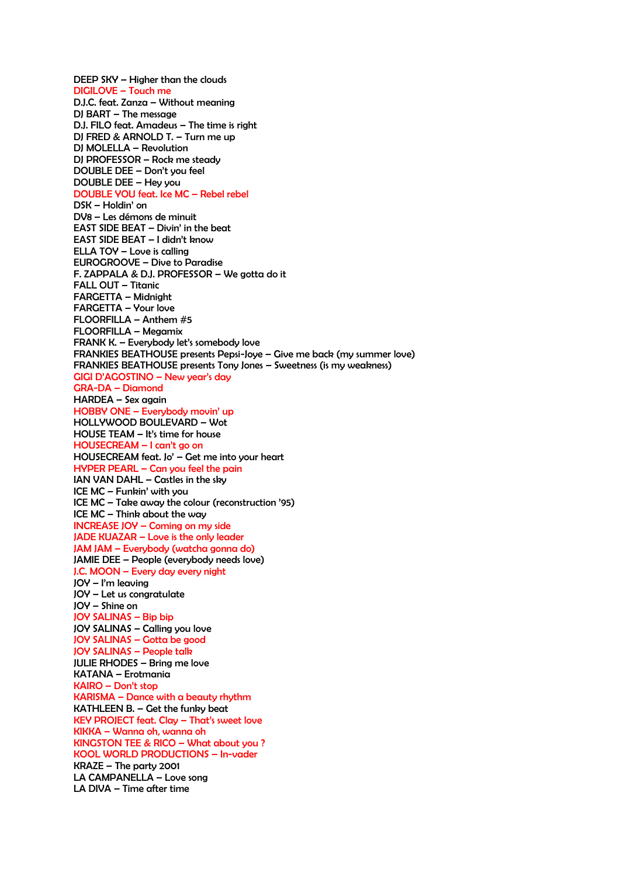DEEP SKY – Higher than the clouds DIGILOVE – Touch me D.J.C. feat. Zanza – Without meaning DJ BART – The message D.J. FILO feat. Amadeus – The time is right DJ FRED & ARNOLD T. – Turn me up DJ MOLELLA – Revolution DJ PROFESSOR – Rock me steady DOUBLE DEE – Don't you feel DOUBLE DEE – Hey you DOUBLE YOU feat. Ice MC – Rebel rebel DSK – Holdin' on DV8 – Les démons de minuit EAST SIDE BEAT – Divin' in the beat EAST SIDE BEAT - I didn't know ELLA TOY – Love is calling EUROGROOVE – Dive to Paradise F. ZAPPALA & D.J. PROFESSOR – We gotta do it FALL OUT – Titanic FARGETTA – Midnight FARGETTA – Your love FLOORFILLA – Anthem #5 FLOORFILLA – Megamix FRANK K. – Everybody let's somebody love FRANKIES BEATHOUSE presents Pepsi-Joye – Give me back (my summer love) FRANKIES BEATHOUSE presents Tony Jones – Sweetness (is my weakness) GIGI D'AGOSTINO – New year's day GRA-DA – Diamond HARDEA – Sex again HOBBY ONE – Everybody movin' up HOLLYWOOD BOULEVARD – Wot HOUSE TEAM – It's time for house HOUSECREAM – I can't go on HOUSECREAM feat. Jo' – Get me into your heart HYPER PEARL – Can you feel the pain IAN VAN DAHL – Castles in the sky ICE MC – Funkin' with you ICE MC – Take away the colour (reconstruction '95) ICE MC – Think about the way INCREASE JOY – Coming on my side JADE KUAZAR – Love is the only leader JAM JAM – Everybody (watcha gonna do) JAMIE DEE – People (everybody needs love) J.C. MOON – Every day every night JOY – I'm leaving JOY – Let us congratulate JOY – Shine on JOY SALINAS – Bip bip JOY SALINAS – Calling you love JOY SALINAS – Gotta be good JOY SALINAS – People talk JULIE RHODES – Bring me love KATANA – Erotmania KAIRO – Don't stop KARISMA – Dance with a beauty rhythm KATHLEEN B. – Get the funky beat KEY PROJECT feat. Clay – That's sweet love KIKKA – Wanna oh, wanna oh KINGSTON TEE & RICO – What about you ? KOOL WORLD PRODUCTIONS – In-vader KRAZE – The party 2001 LA CAMPANELLA – Love song LA DIVA – Time after time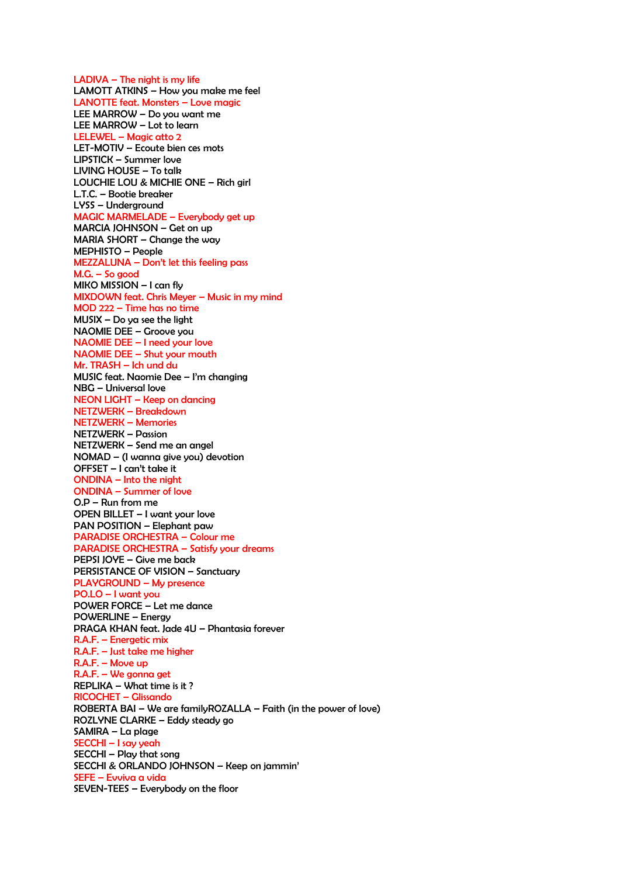LADIVA - The night is my life LAMOTT ATKINS – How you make me feel LANOTTE feat. Monsters – Love magic LEE MARROW – Do you want me LEE MARROW – Lot to learn LELEWEL – Magic atto 2 LET-MOTIV – Ecoute bien ces mots LIPSTICK – Summer love LIVING HOUSE – To talk LOUCHIE LOU & MICHIE ONE – Rich girl L.T.C. – Bootie breaker LYSS – Underground MAGIC MARMELADE – Everybody get up MARCIA JOHNSON – Get on up MARIA SHORT – Change the way MEPHISTO – People MEZZALUNA – Don't let this feeling pass M.G. – So good MIKO MISSION – I can fly MIXDOWN feat. Chris Meyer – Music in my mind MOD 222 – Time has no time MUSIX – Do ya see the light NAOMIE DEE – Groove you NAOMIE DEE – I need your love NAOMIE DEE – Shut your mouth Mr. TRASH – Ich und du MUSIC feat. Naomie Dee – I'm changing NBG – Universal love NEON LIGHT – Keep on dancing NETZWERK – Breakdown NETZWERK – Memories NETZWERK – Passion NETZWERK – Send me an angel NOMAD – (I wanna give you) devotion OFFSET – I can't take it ONDINA – Into the night ONDINA – Summer of love O.P – Run from me OPEN BILLET – I want your love PAN POSITION – Elephant paw PARADISE ORCHESTRA – Colour me PARADISE ORCHESTRA – Satisfy your dreams PEPSI JOYE – Give me back PERSISTANCE OF VISION – Sanctuary PLAYGROUND – My presence PO.LO – I want you POWER FORCE – Let me dance POWERLINE – Energy PRAGA KHAN feat. Jade 4U – Phantasia forever R.A.F. – Energetic mix R.A.F. – Just take me higher R.A.F. – Move up R.A.F. – We gonna get REPLIKA – What time is it ? RICOCHET – Glissando ROBERTA BAI – We are familyROZALLA – Faith (in the power of love) ROZLYNE CLARKE – Eddy steady go SAMIRA – La plage SECCHI – I say yeah SECCHI – Play that song SECCHI & ORLANDO JOHNSON – Keep on jammin' SEFE – Evviva a vida SEVEN-TEES – Everybody on the floor